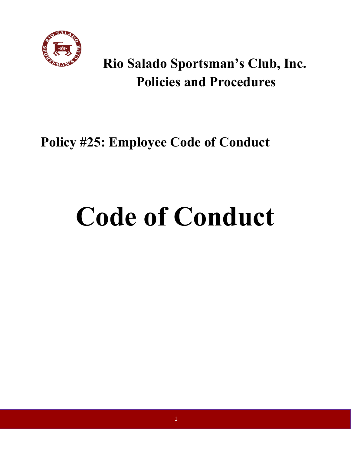

# **Rio Salado Sportsman's Club, Inc. Policies and Procedures**

## **Policy #25: Employee Code of Conduct**

# **Code of Conduct**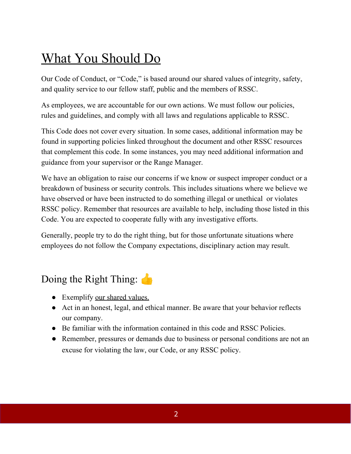### What You Should Do

Our Code of Conduct, or "Code," is based around our shared values of integrity, safety, and quality service to our fellow staff, public and the members of RSSC.

As employees, we are accountable for our own actions. We must follow our policies, rules and guidelines, and comply with all laws and regulations applicable to RSSC.

This Code does not cover every situation. In some cases, additional information may be found in supporting policies linked throughout the document and other RSSC resources that complement this code. In some instances, you may need additional information and guidance from your supervisor or the Range Manager.

We have an obligation to raise our concerns if we know or suspect improper conduct or a breakdown of business or security controls. This includes situations where we believe we have observed or have been instructed to do something illegal or unethical or violates RSSC policy. Remember that resources are available to help, including those listed in this Code. You are expected to cooperate fully with any investigative efforts.

Generally, people try to do the right thing, but for those unfortunate situations where employees do not follow the Company expectations, disciplinary action may result.

#### Doing the Right Thing:

- Exemplify our shared values.
- Act in an honest, legal, and ethical manner. Be aware that your behavior reflects our company.
- Be familiar with the information contained in this code and RSSC Policies.
- Remember, pressures or demands due to business or personal conditions are not an excuse for violating the law, our Code, or any RSSC policy.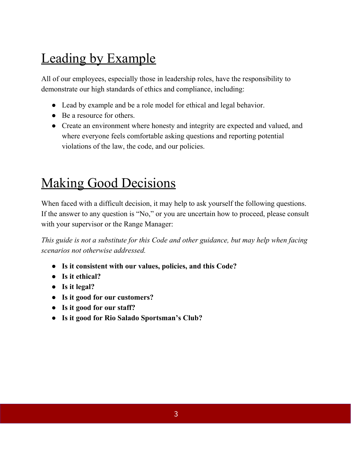# Leading by Example

All of our employees, especially those in leadership roles, have the responsibility to demonstrate our high standards of ethics and compliance, including:

- Lead by example and be a role model for ethical and legal behavior.
- Be a resource for others.
- Create an environment where honesty and integrity are expected and valued, and where everyone feels comfortable asking questions and reporting potential violations of the law, the code, and our policies.

### Making Good Decisions

When faced with a difficult decision, it may help to ask yourself the following questions. If the answer to any question is "No," or you are uncertain how to proceed, please consult with your supervisor or the Range Manager:

*This guide is not a substitute for this Code and other guidance, but may help when facing scenarios not otherwise addressed.*

- **● Is it consistent with our values, policies, and this Code?**
- **● Is it ethical?**
- **● Is it legal?**
- **● Is it good for our customers?**
- **● Is it good for our staff?**
- **● Is it good for Rio Salado Sportsman's Club?**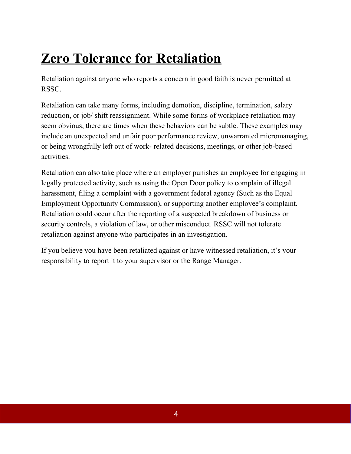# **Zero Tolerance for Retaliation**

Retaliation against anyone who reports a concern in good faith is never permitted at RSSC.

Retaliation can take many forms, including demotion, discipline, termination, salary reduction, or job/ shift reassignment. While some forms of workplace retaliation may seem obvious, there are times when these behaviors can be subtle. These examples may include an unexpected and unfair poor performance review, unwarranted micromanaging, or being wrongfully left out of work- related decisions, meetings, or other job-based activities.

Retaliation can also take place where an employer punishes an employee for engaging in legally protected activity, such as using the Open Door policy to complain of illegal harassment, filing a complaint with a government federal agency (Such as the Equal Employment Opportunity Commission), or supporting another employee's complaint. Retaliation could occur after the reporting of a suspected breakdown of business or security controls, a violation of law, or other misconduct. RSSC will not tolerate retaliation against anyone who participates in an investigation.

If you believe you have been retaliated against or have witnessed retaliation, it's your responsibility to report it to your supervisor or the Range Manager.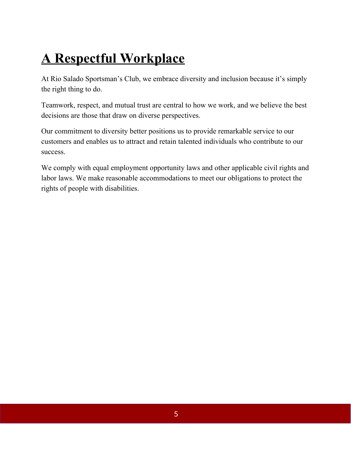# **A Respectful Workplace**

At Rio Salado Sportsman's Club, we embrace diversity and inclusion because it's simply the right thing to do.

Teamwork, respect, and mutual trust are central to how we work, and we believe the best decisions are those that draw on diverse perspectives.

Our commitment to diversity better positions us to provide remarkable service to our customers and enables us to attract and retain talented individuals who contribute to our success.

We comply with equal employment opportunity laws and other applicable civil rights and labor laws. We make reasonable accommodations to meet our obligations to protect the rights of people with disabilities.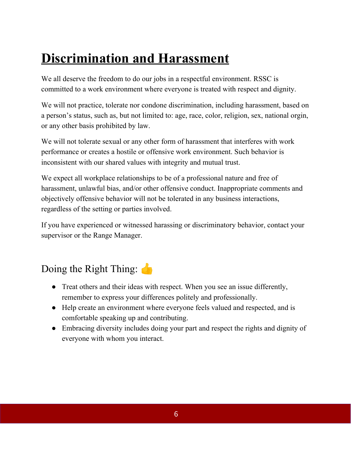# **Discrimination and Harassment**

We all deserve the freedom to do our jobs in a respectful environment. RSSC is committed to a work environment where everyone is treated with respect and dignity.

We will not practice, tolerate nor condone discrimination, including harassment, based on a person's status, such as, but not limited to: age, race, color, religion, sex, national orgin, or any other basis prohibited by law.

We will not tolerate sexual or any other form of harassment that interferes with work performance or creates a hostile or offensive work environment. Such behavior is inconsistent with our shared values with integrity and mutual trust.

We expect all workplace relationships to be of a professional nature and free of harassment, unlawful bias, and/or other offensive conduct. Inappropriate comments and objectively offensive behavior will not be tolerated in any business interactions, regardless of the setting or parties involved.

If you have experienced or witnessed harassing or discriminatory behavior, contact your supervisor or the Range Manager.

#### Doing the Right Thing:

- Treat others and their ideas with respect. When you see an issue differently, remember to express your differences politely and professionally.
- Help create an environment where everyone feels valued and respected, and is comfortable speaking up and contributing.
- Embracing diversity includes doing your part and respect the rights and dignity of everyone with whom you interact.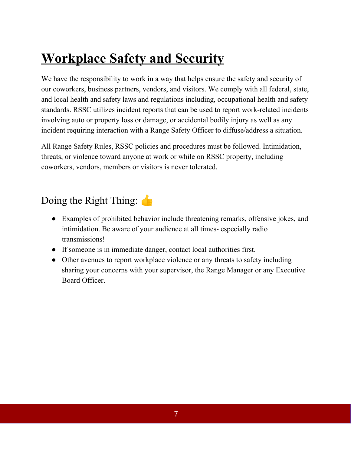# **Workplace Safety and Security**

We have the responsibility to work in a way that helps ensure the safety and security of our coworkers, business partners, vendors, and visitors. We comply with all federal, state, and local health and safety laws and regulations including, occupational health and safety standards. RSSC utilizes incident reports that can be used to report work-related incidents involving auto or property loss or damage, or accidental bodily injury as well as any incident requiring interaction with a Range Safety Officer to diffuse/address a situation.

All Range Safety Rules, RSSC policies and procedures must be followed. Intimidation, threats, or violence toward anyone at work or while on RSSC property, including coworkers, vendors, members or visitors is never tolerated.

#### Doing the Right Thing:

- Examples of prohibited behavior include threatening remarks, offensive jokes, and intimidation. Be aware of your audience at all times- especially radio transmissions!
- If someone is in immediate danger, contact local authorities first.
- Other avenues to report workplace violence or any threats to safety including sharing your concerns with your supervisor, the Range Manager or any Executive Board Officer.